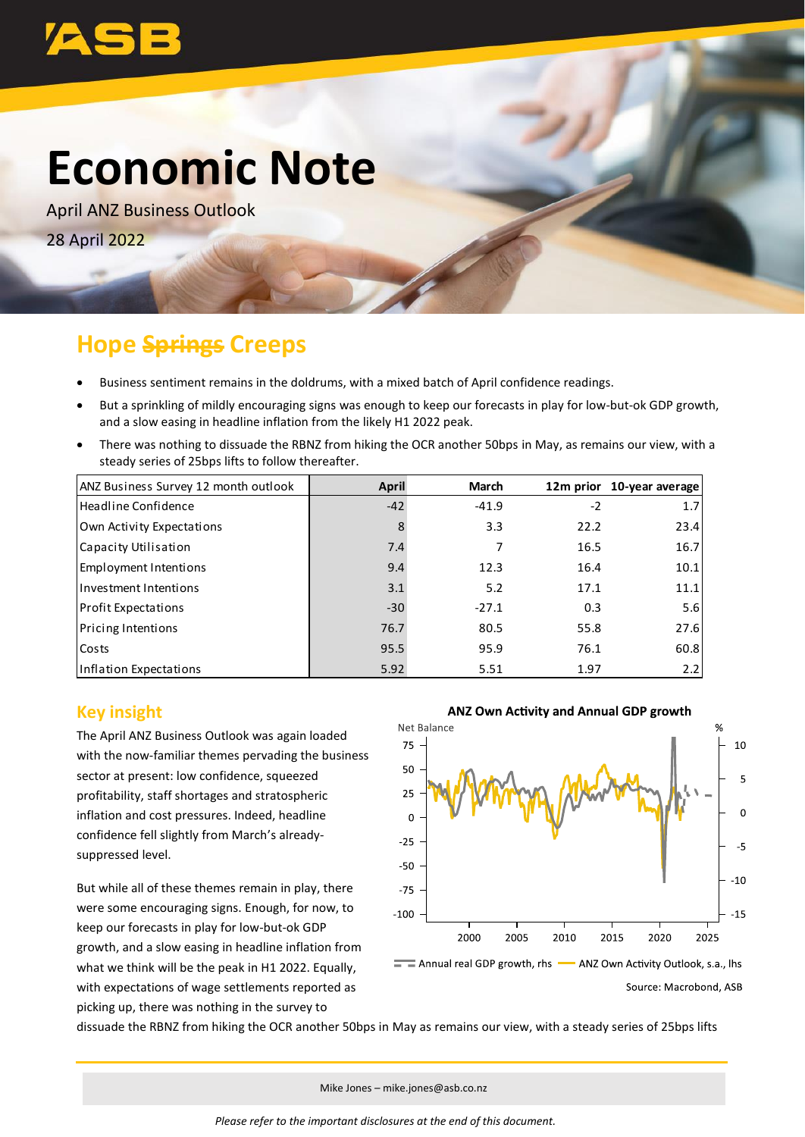

# **Economic Note**

April ANZ Business Outlook 28 April 2022

## **Hope Springs Creeps**

- Business sentiment remains in the doldrums, with a mixed batch of April confidence readings.
- But a sprinkling of mildly encouraging signs was enough to keep our forecasts in play for low-but-ok GDP growth, and a slow easing in headline inflation from the likely H1 2022 peak.
- There was nothing to dissuade the RBNZ from hiking the OCR another 50bps in May, as remains our view, with a steady series of 25bps lifts to follow thereafter.

| ANZ Business Survey 12 month outlook | April | <b>March</b> |      | 12m prior 10-year average |
|--------------------------------------|-------|--------------|------|---------------------------|
| Headline Confidence                  | $-42$ | $-41.9$      | $-2$ | 1.7                       |
| Own Activity Expectations            | 8     | 3.3          | 22.2 | 23.4                      |
| Capacity Utilisation                 | 7.4   | 7            | 16.5 | 16.7                      |
| Employment Intentions                | 9.4   | 12.3         | 16.4 | 10.1                      |
| Investment Intentions                | 3.1   | 5.2          | 17.1 | 11.1                      |
| <b>Profit Expectations</b>           | $-30$ | $-27.1$      | 0.3  | 5.6                       |
| <b>Pricing Intentions</b>            | 76.7  | 80.5         | 55.8 | 27.6                      |
| Costs                                | 95.5  | 95.9         | 76.1 | 60.8                      |
| Inflation Expectations               | 5.92  | 5.51         | 1.97 | 2.2                       |

### **Key insight**

The April ANZ Business Outlook was again loaded with the now-familiar themes pervading the business sector at present: low confidence, squeezed profitability, staff shortages and stratospheric inflation and cost pressures. Indeed, headline confidence fell slightly from March's alreadysuppressed level.

But while all of these themes remain in play, there were some encouraging signs. Enough, for now, to keep our forecasts in play for low-but-ok GDP growth, and a slow easing in headline inflation from what we think will be the peak in H1 2022. Equally, with expectations of wage settlements reported as picking up, there was nothing in the survey to



dissuade the RBNZ from hiking the OCR another 50bps in May as remains our view, with a steady series of 25bps lifts

Mike Jones – mike.jones@asb.co.nz

*Please refer to the important disclosures at the end of this document.*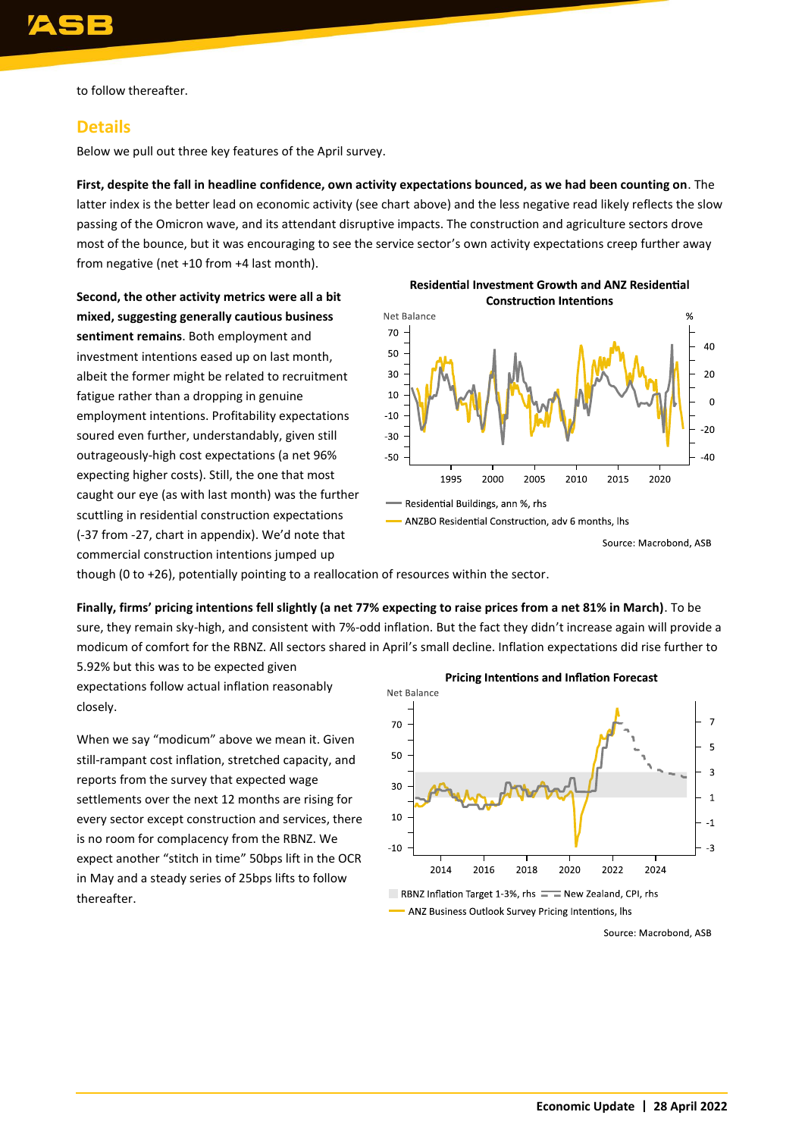to follow thereafter.

#### **Details**

Below we pull out three key features of the April survey.

**First, despite the fall in headline confidence, own activity expectations bounced, as we had been counting on**. The latter index is the better lead on economic activity (see chart above) and the less negative read likely reflects the slow passing of the Omicron wave, and its attendant disruptive impacts. The construction and agriculture sectors drove most of the bounce, but it was encouraging to see the service sector's own activity expectations creep further away from negative (net +10 from +4 last month).

**Second, the other activity metrics were all a bit mixed, suggesting generally cautious business sentiment remains**. Both employment and investment intentions eased up on last month, albeit the former might be related to recruitment fatigue rather than a dropping in genuine employment intentions. Profitability expectations soured even further, understandably, given still outrageously-high cost expectations (a net 96% expecting higher costs). Still, the one that most caught our eye (as with last month) was the further scuttling in residential construction expectations (-37 from -27, chart in appendix). We'd note that commercial construction intentions jumped up



though (0 to +26), potentially pointing to a reallocation of resources within the sector.

**Finally, firms' pricing intentions fell slightly (a net 77% expecting to raise prices from a net 81% in March)**. To be sure, they remain sky-high, and consistent with 7%-odd inflation. But the fact they didn't increase again will provide a modicum of comfort for the RBNZ. All sectors shared in April's small decline. Inflation expectations did rise further to

5.92% but this was to be expected given expectations follow actual inflation reasonably closely.

When we say "modicum" above we mean it. Given still-rampant cost inflation, stretched capacity, and reports from the survey that expected wage settlements over the next 12 months are rising for every sector except construction and services, there is no room for complacency from the RBNZ. We expect another "stitch in time" 50bps lift in the OCR in May and a steady series of 25bps lifts to follow thereafter.



ANZ Business Outlook Survey Pricing Intentions, lhs

Source: Macrobond, ASB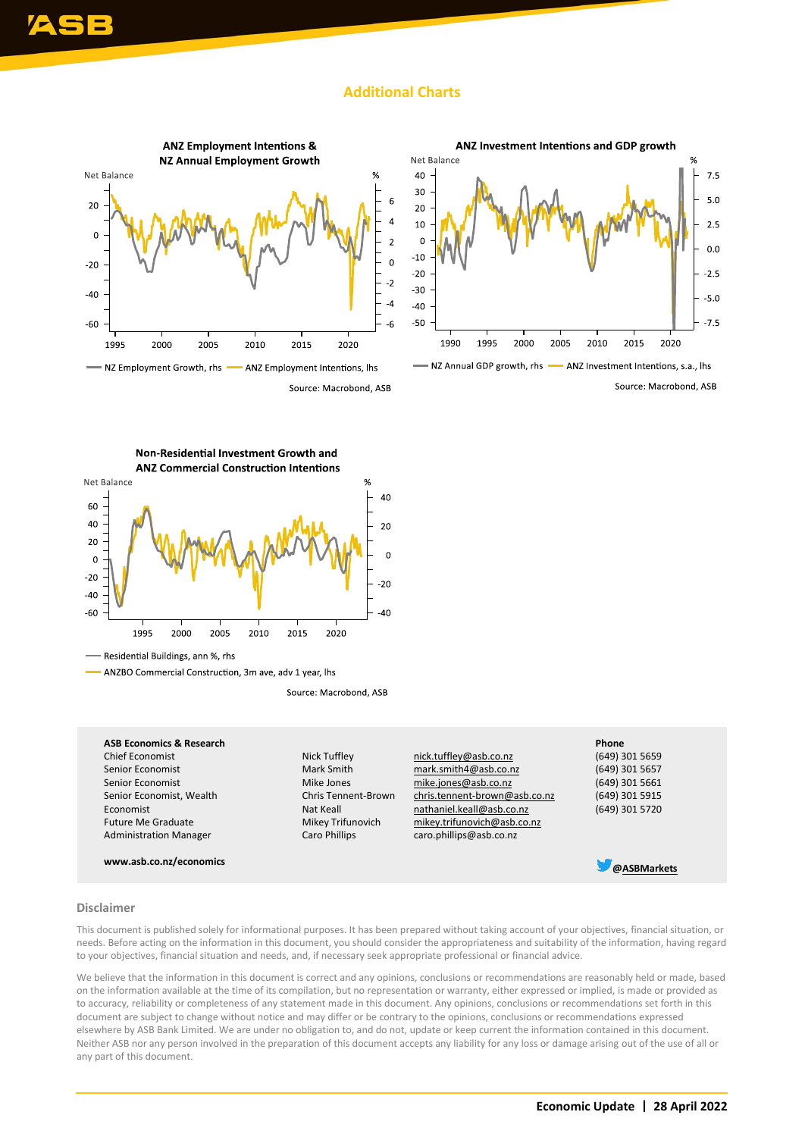#### **Additional Charts**





NZ Annual GDP growth, rhs - ANZ Investment Intentions, s.a., lhs Source: Macrobond, ASB

Non-Residential Investment Growth and



Residential Buildings, ann %, rhs

- ANZBO Commercial Construction, 3m ave, adv 1 year, lhs

Source: Macrobond, ASB

#### **ASB Economics & Research Phone**

Economist Future Me Graduate Administration Manager

**www.asb.co.nz/economics [@ASBMarkets](https://twitter.com/asbmarkets?lang=en)**

Nat Keall Mikey Trifunovich Caro Phillips

Chief Economist Nick Tuffley [nick.tuffley@asb.co.nz](mailto:nick.tuffley@asb.co.nz) (649) 301 5659 Senior Economist Mark Smith [mark.smith4@asb.co.nz](mailto:mark.smith4@asb.co.nz) (649) 301 5657<br>Senior Economist Mike Jones mike.jones@asb.co.nz (649) 301 5661 Senior Economist Mike Jones [mike.jones@asb.co.nz](mailto:mike.jones@asb.co.nz) (649) 301 5661<br>Senior Economist, Wealth Chris Tennent-Brown chris.tennent-brown@asb.co.nz (649) 301 5915 Senior Economist, Wealth Chris Tennent-Brown [chris.tennent-brown@asb.co.nz](mailto:chris.tennent-brown@asb.co.nz) nathaniel.keall@asb.co.nz mikey.trifunovich@asb.co.nz caro.phillips@asb.co.nz

(649) 301 5720

#### **Disclaimer**

This document is published solely for informational purposes. It has been prepared without taking account of your objectives, financial situation, or needs. Before acting on the information in this document, you should consider the appropriateness and suitability of the information, having regard to your objectives, financial situation and needs, and, if necessary seek appropriate professional or financial advice.

We believe that the information in this document is correct and any opinions, conclusions or recommendations are reasonably held or made, based on the information available at the time of its compilation, but no representation or warranty, either expressed or implied, is made or provided as to accuracy, reliability or completeness of any statement made in this document. Any opinions, conclusions or recommendations set forth in this document are subject to change without notice and may differ or be contrary to the opinions, conclusions or recommendations expressed elsewhere by ASB Bank Limited. We are under no obligation to, and do not, update or keep current the information contained in this document. Neither ASB nor any person involved in the preparation of this document accepts any liability for any loss or damage arising out of the use of all or any part of this document.